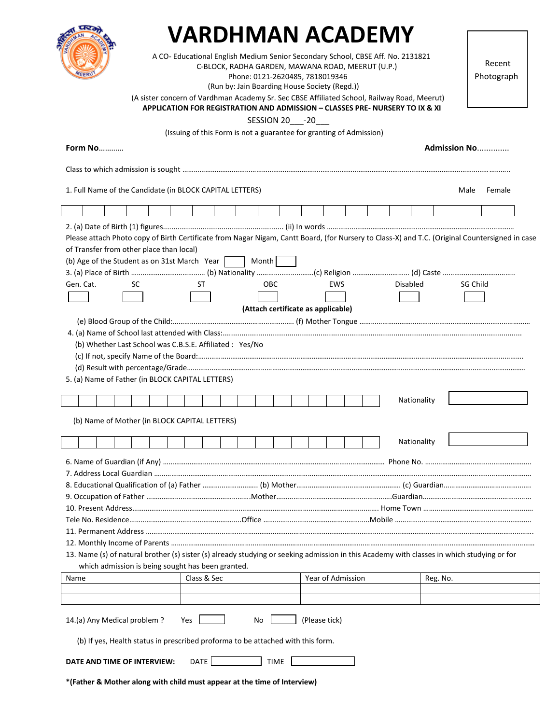| B<br>OHA |     | रम |
|----------|-----|----|
|          | EER |    |

## **VARDHMAN ACADEMY**

A CO- Educational English Medium Senior Secondary School, CBSE Aff. No. 2131821

C-BLOCK, RADHA GARDEN, MAWANA ROAD, MEERUT (U.P.)

Phone: 0121-2620485, 7818019346

(Run by: Jain Boarding House Society (Regd.))

 Recent Photograph

(A sister concern of Vardhman Academy Sr. Sec CBSE Affiliated School, Railway Road, Meerut)

**APPLICATION FOR REGISTRATION AND ADMISSION – CLASSES PRE- NURSERY TO IX & XI**

SESSION 20\_\_\_-20\_\_\_

(Issuing of this Form is not a guarantee for granting of Admission)

| <b>Form No</b>                                                                                                                                 |             |                                    |                   |  |             | Admission No |        |
|------------------------------------------------------------------------------------------------------------------------------------------------|-------------|------------------------------------|-------------------|--|-------------|--------------|--------|
|                                                                                                                                                |             |                                    |                   |  |             |              |        |
| 1. Full Name of the Candidate (in BLOCK CAPITAL LETTERS)                                                                                       |             |                                    |                   |  |             | Male         | Female |
|                                                                                                                                                |             |                                    |                   |  |             |              |        |
|                                                                                                                                                |             |                                    |                   |  |             |              |        |
| Please attach Photo copy of Birth Certificate from Nagar Nigam, Cantt Board, (for Nursery to Class-X) and T.C. (Original Countersigned in case |             |                                    |                   |  |             |              |        |
| of Transfer from other place than local)                                                                                                       |             |                                    |                   |  |             |              |        |
| (b) Age of the Student as on 31st March Year                                                                                                   |             | Month                              |                   |  |             |              |        |
|                                                                                                                                                |             |                                    |                   |  |             |              |        |
| Gen. Cat.<br>SC                                                                                                                                | ST          | <b>OBC</b>                         | EWS               |  | Disabled    | SG Child     |        |
|                                                                                                                                                |             |                                    |                   |  |             |              |        |
|                                                                                                                                                |             | (Attach certificate as applicable) |                   |  |             |              |        |
|                                                                                                                                                |             |                                    |                   |  |             |              |        |
|                                                                                                                                                |             |                                    |                   |  |             |              |        |
| (b) Whether Last School was C.B.S.E. Affiliated : Yes/No                                                                                       |             |                                    |                   |  |             |              |        |
|                                                                                                                                                |             |                                    |                   |  |             |              |        |
|                                                                                                                                                |             |                                    |                   |  |             |              |        |
| 5. (a) Name of Father (in BLOCK CAPITAL LETTERS)                                                                                               |             |                                    |                   |  |             |              |        |
|                                                                                                                                                |             |                                    |                   |  | Nationality |              |        |
| (b) Name of Mother (in BLOCK CAPITAL LETTERS)                                                                                                  |             |                                    |                   |  |             |              |        |
|                                                                                                                                                |             |                                    |                   |  | Nationality |              |        |
|                                                                                                                                                |             |                                    |                   |  |             |              |        |
|                                                                                                                                                |             |                                    |                   |  |             |              |        |
|                                                                                                                                                |             |                                    |                   |  |             |              |        |
|                                                                                                                                                |             |                                    |                   |  |             |              |        |
|                                                                                                                                                |             |                                    |                   |  |             |              |        |
| Tele No. Residence……………………………………………………Office …………………………………………………Mobile …………………………………………………………………………                                            |             |                                    |                   |  |             |              |        |
|                                                                                                                                                |             |                                    |                   |  |             |              |        |
|                                                                                                                                                |             |                                    |                   |  |             |              |        |
| 13. Name (s) of natural brother (s) sister (s) already studying or seeking admission in this Academy with classes in which studying or for     |             |                                    |                   |  |             |              |        |
| which admission is being sought has been granted.                                                                                              |             |                                    |                   |  |             |              |        |
| Name                                                                                                                                           | Class & Sec |                                    | Year of Admission |  | Reg. No.    |              |        |
|                                                                                                                                                |             |                                    |                   |  |             |              |        |
| 14.(a) Any Medical problem?<br>(Please tick)<br>Yes<br>No<br>(b) If yes, Health status in prescribed proforma to be attached with this form.   |             |                                    |                   |  |             |              |        |
| DATE<br><b>TIME</b><br>DATE AND TIME OF INTERVIEW:                                                                                             |             |                                    |                   |  |             |              |        |
| *(Father & Mother along with child must appear at the time of Interview)                                                                       |             |                                    |                   |  |             |              |        |
|                                                                                                                                                |             |                                    |                   |  |             |              |        |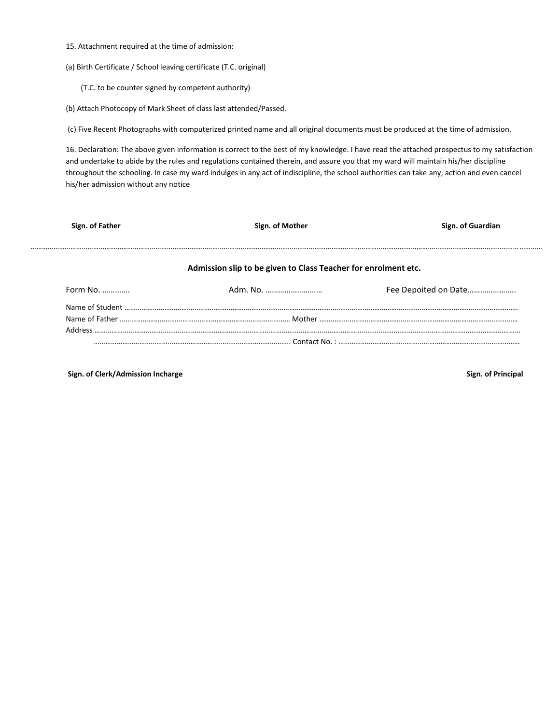- 15. Attachment required at the time of admission:
- (a) Birth Certificate / School leaving certificate (T.C. original)
	- (T.C. to be counter signed by competent authority)
- (b) Attach Photocopy of Mark Sheet of class last attended/Passed.

(c) Five Recent Photographs with computerized printed name and all original documents must be produced at the time of admission.

16. Declaration: The above given information is correct to the best of my knowledge. I have read the attached prospectus to my satisfaction and undertake to abide by the rules and regulations contained therein, and assure you that my ward will maintain his/her discipline throughout the schooling. In case my ward indulges in any act of indiscipline, the school authorities can take any, action and even cancel his/her admission without any notice

| Sign. of Father | Sign. of Mother                                                | Sign. of Guardian    |  |
|-----------------|----------------------------------------------------------------|----------------------|--|
|                 | Admission slip to be given to Class Teacher for enrolment etc. |                      |  |
| Form No.        |                                                                | Fee Depoited on Date |  |
|                 |                                                                |                      |  |
|                 |                                                                |                      |  |
|                 |                                                                |                      |  |
|                 |                                                                |                      |  |

**Sign. of Clerk/Admission Incharge Sign. of Principal**